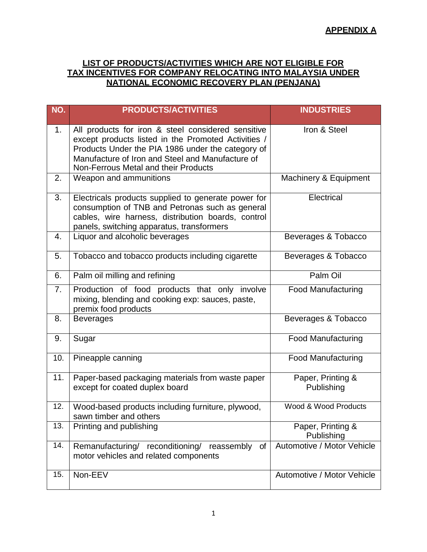## **LIST OF PRODUCTS/ACTIVITIES WHICH ARE NOT ELIGIBLE FOR TAX INCENTIVES FOR COMPANY RELOCATING INTO MALAYSIA UNDER NATIONAL ECONOMIC RECOVERY PLAN (PENJANA)**

| NO. | <b>PRODUCTS/ACTIVITIES</b>                                                                                                                                                                                                                                 | <b>INDUSTRIES</b>               |
|-----|------------------------------------------------------------------------------------------------------------------------------------------------------------------------------------------------------------------------------------------------------------|---------------------------------|
| 1.  | All products for iron & steel considered sensitive<br>except products listed in the Promoted Activities /<br>Products Under the PIA 1986 under the category of<br>Manufacture of Iron and Steel and Manufacture of<br>Non-Ferrous Metal and their Products | Iron & Steel                    |
| 2.  | Weapon and ammunitions                                                                                                                                                                                                                                     | Machinery & Equipment           |
| 3.  | Electricals products supplied to generate power for<br>consumption of TNB and Petronas such as general<br>cables, wire harness, distribution boards, control<br>panels, switching apparatus, transformers                                                  | Electrical                      |
| 4.  | Liquor and alcoholic beverages                                                                                                                                                                                                                             | Beverages & Tobacco             |
| 5.  | Tobacco and tobacco products including cigarette                                                                                                                                                                                                           | Beverages & Tobacco             |
| 6.  | Palm oil milling and refining                                                                                                                                                                                                                              | Palm Oil                        |
| 7.  | Production of food products that only involve<br>mixing, blending and cooking exp: sauces, paste,<br>premix food products                                                                                                                                  | <b>Food Manufacturing</b>       |
| 8.  | <b>Beverages</b>                                                                                                                                                                                                                                           | Beverages & Tobacco             |
| 9.  | Sugar                                                                                                                                                                                                                                                      | <b>Food Manufacturing</b>       |
| 10. | Pineapple canning                                                                                                                                                                                                                                          | <b>Food Manufacturing</b>       |
| 11. | Paper-based packaging materials from waste paper<br>except for coated duplex board                                                                                                                                                                         | Paper, Printing &<br>Publishing |
| 12. | Wood-based products including furniture, plywood,<br>sawn timber and others                                                                                                                                                                                | Wood & Wood Products            |
| 13. | Printing and publishing                                                                                                                                                                                                                                    | Paper, Printing &<br>Publishing |
| 14. | Remanufacturing/ reconditioning/<br>of<br>reassembly<br>motor vehicles and related components                                                                                                                                                              | Automotive / Motor Vehicle      |
| 15. | Non-EEV                                                                                                                                                                                                                                                    | Automotive / Motor Vehicle      |